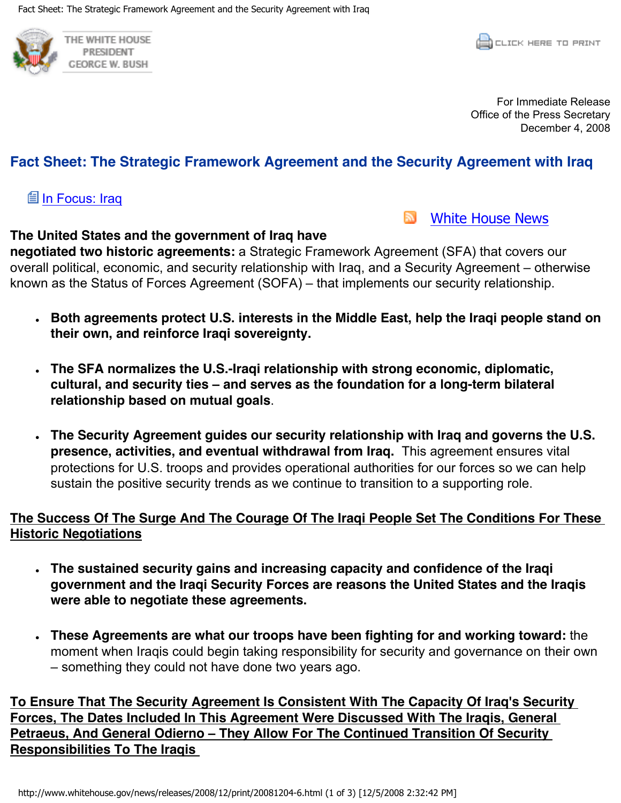

For Immediate Release Office of the Press Secretary December 4, 2008

## **Fact Sheet: The Strategic Framework Agreement and the Security Agreement with Iraq**

#### **Lill In Focus: Iraq**

E. [White House News](http://www.whitehouse.gov/rss/news.xml)

#### **The United States and the government of Iraq have**

**negotiated two historic agreements:** a Strategic Framework Agreement (SFA) that covers our overall political, economic, and security relationship with Iraq, and a Security Agreement – otherwise known as the Status of Forces Agreement (SOFA) – that implements our security relationship.

- **EXTED 10. Both agreements protect U.S. interests in the Middle East, help the Iraqi people stand on their own, and reinforce Iraqi sovereignty.**
- **EXTER 55 IS 10 TH20 TH20 IS 10 TH20 TH20 IS 10 TH20 IS 10 TH20 IS 10 TH20 IS 10 TH20 IS 10 IS 10 IS 10 IS 10 IS 10 IS 10 IS 10 IS 10 IS 10 IS 10 IS 10 IS 10 IS 10 IS 10 IS 10 IS 10 IS 10 IS 10 IS 10 IS 10 IS 10 IS 10 IS 1 cultural, and security ties ± and serves as the foundation for a long-term bilateral relationship based on mutual goals**.
- <sup>ł</sup> **The Security Agreement guides our security relationship with Iraq and governs the U.S. presence, activities, and eventual withdrawal from Iraq.** This agreement ensures vital protections for U.S. troops and provides operational authorities for our forces so we can help sustain the positive security trends as we continue to transition to a supporting role.

### **The Success Of The Surge And The Courage Of The Iraqi People Set The Conditions For These Historic Negotiations**

- **Example 3 Security security gains and increasing capacity and confidence of the Iragi government and the Iraqi Security Forces are reasons the United States and the Iraqis were able to negotiate these agreements.**
- **Figure 2** These Agreements are what our troops have been fighting for and working toward: the moment when Iraqis could begin taking responsibility for security and governance on their own  $-$  something they could not have done two years ago.

**To Ensure That The Security Agreement Is Consistent With The Capacity Of Iraq's Security Forces, The Dates Included In This Agreement Were Discussed With The Iraqis, General Petraeus, And General Odierno - They Allow For The Continued Transition Of Security Responsibilities To The Iraqis**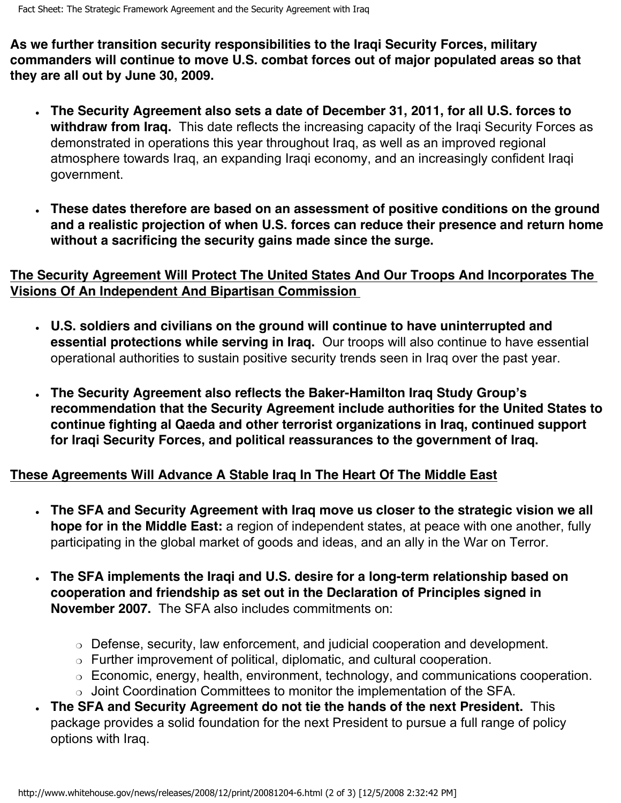**As we further transition security responsibilities to the Iraqi Security Forces, military commanders will continue to move U.S. combat forces out of major populated areas so that they are all out by June 30, 2009.**

- <sup>ł</sup> **The Security Agreement also sets a date of December 31, 2011, for all U.S. forces to withdraw from Iraq.** This date reflects the increasing capacity of the Iraqi Security Forces as demonstrated in operations this year throughout Iraq, as well as an improved regional atmosphere towards Iraq, an expanding Iraqi economy, and an increasingly confident Iraqi government.
- **Example 3 are in team of the set on and assessment of positive conditions on the ground and Set 20. and a realistic projection of when U.S. forces can reduce their presence and return home without a sacrificing the security gains made since the surge.**

## **The Security Agreement Will Protect The United States And Our Troops And Incorporates The Visions Of An Independent And Bipartisan Commission**

- **EXECT** S. Soldiers and civilians on the ground will continue to have uninterrupted and **essential protections while serving in Iraq.** Our troops will also continue to have essential operational authorities to sustain positive security trends seen in Iraq over the past year.
- **Reform Security Agreement also reflects the Baker-Hamilton Iraq Study Group's <b>Study** 3 **recommendation that the Security Agreement include authorities for the United States to continue fighting al Qaeda and other terrorist organizations in Iraq, continued support for Iraqi Security Forces, and political reassurances to the government of Iraq.**

# **These Agreements Will Advance A Stable Iraq In The Heart Of The Middle East**

- **Example SFA and Security Agreement with Iraq move us closer to the strategic vision we all hope for in the Middle East:** a region of independent states, at peace with one another, fully participating in the global market of goods and ideas, and an ally in the War on Terror.
- The SFA implements the Iraqi and U.S. desire for a long-term relationship based on **cooperation and friendship as set out in the Declaration of Principles signed in November 2007.** The SFA also includes commitments on:
	- $\circ$  Defense, security, law enforcement, and judicial cooperation and development.
	- ❍ Further improvement of political, diplomatic, and cultural cooperation.
	- ❍ Economic, energy, health, environment, technology, and communications cooperation.
	- ❍ Joint Coordination Committees to monitor the implementation of the SFA.
- <sup>ł</sup> **The SFA and Security Agreement do not tie the hands of the next President.** This package provides a solid foundation for the next President to pursue a full range of policy options with Iraq.